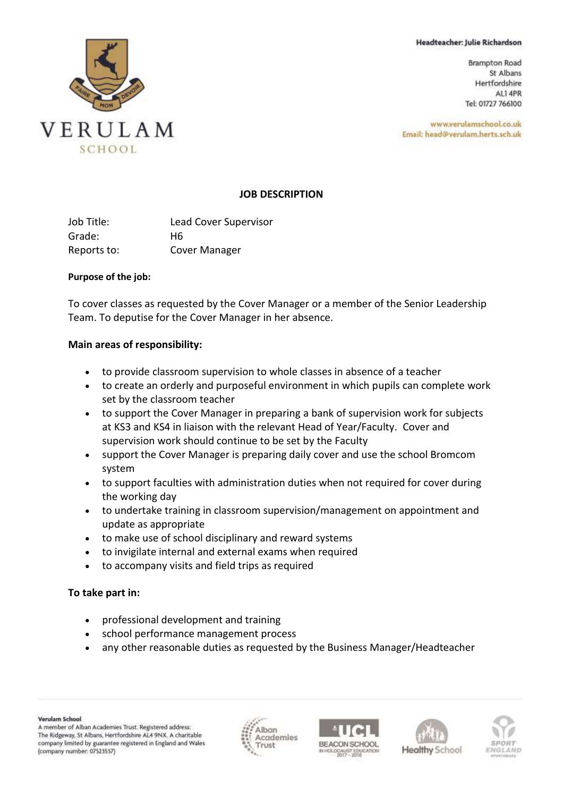#### Headteacher: Julie Richardson

**Brampton Road** St Albans Hertfordshire AL1 4PR Tel: 01727 766100

www.verulamschool.co.uk Email: head@verulam.herts.sch.uk



## **JOB DESCRIPTION**

| Job Title:  | <b>Lead Cover Supervisor</b> |
|-------------|------------------------------|
| Grade:      | H6                           |
| Reports to: | Cover Manager                |

#### **Purpose of the job:**

To cover classes as requested by the Cover Manager or a member of the Senior Leadership Team. To deputise for the Cover Manager in her absence.

### **Main areas of responsibility:**

- to provide classroom supervision to whole classes in absence of a teacher
- to create an orderly and purposeful environment in which pupils can complete work set by the classroom teacher
- to support the Cover Manager in preparing a bank of supervision work for subjects at KS3 and KS4 in liaison with the relevant Head of Year/Faculty. Cover and supervision work should continue to be set by the Faculty
- support the Cover Manager is preparing daily cover and use the school Bromcom system
- to support faculties with administration duties when not required for cover during the working day
- to undertake training in classroom supervision/management on appointment and update as appropriate
- to make use of school disciplinary and reward systems
- to invigilate internal and external exams when required
- to accompany visits and field trips as required

### **To take part in:**

- professional development and training
- school performance management process
- any other reasonable duties as requested by the Business Manager/Headteacher







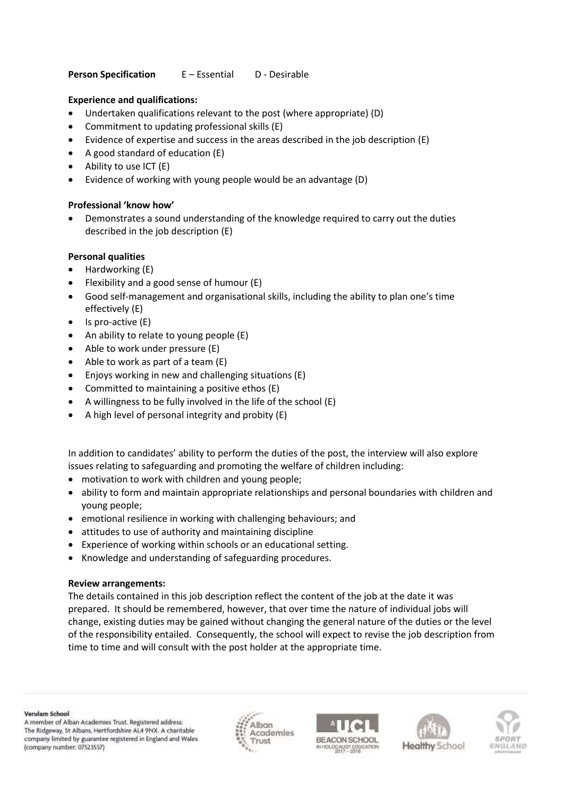## **Person Specification** E – Essential D - Desirable

## **Experience and qualifications:**

- Undertaken qualifications relevant to the post (where appropriate) (D)
- Commitment to updating professional skills (E)
- Evidence of expertise and success in the areas described in the job description (E)
- A good standard of education (E)
- Ability to use ICT (E)
- Evidence of working with young people would be an advantage (D)

# **Professional 'know how'**

• Demonstrates a sound understanding of the knowledge required to carry out the duties described in the job description (E)

# **Personal qualities**

- Hardworking (E)
- Flexibility and a good sense of humour (E)
- Good self-management and organisational skills, including the ability to plan one's time effectively (E)
- Is pro-active (E)
- An ability to relate to young people (E)
- Able to work under pressure (E)
- Able to work as part of a team (E)
- Enjoys working in new and challenging situations (E)
- Committed to maintaining a positive ethos (E)
- A willingness to be fully involved in the life of the school (E)
- A high level of personal integrity and probity (E)

In addition to candidates' ability to perform the duties of the post, the interview will also explore issues relating to safeguarding and promoting the welfare of children including:

- motivation to work with children and young people;
- ability to form and maintain appropriate relationships and personal boundaries with children and young people;
- emotional resilience in working with challenging behaviours; and
- attitudes to use of authority and maintaining discipline
- Experience of working within schools or an educational setting.
- Knowledge and understanding of safeguarding procedures.

### **Review arrangements:**

The details contained in this job description reflect the content of the job at the date it was prepared. It should be remembered, however, that over time the nature of individual jobs will change, existing duties may be gained without changing the general nature of the duties or the level of the responsibility entailed. Consequently, the school will expect to revise the job description from time to time and will consult with the post holder at the appropriate time.

Verulam School